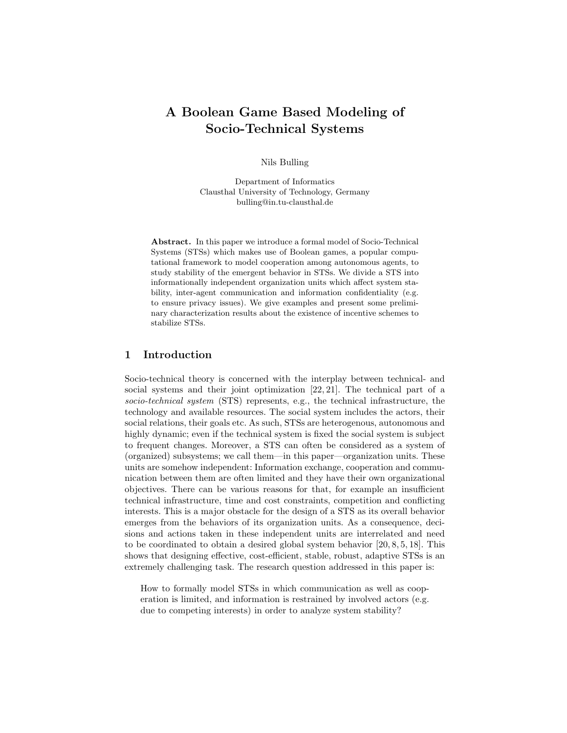# A Boolean Game Based Modeling of Socio-Technical Systems

Nils Bulling

Department of Informatics Clausthal University of Technology, Germany bulling@in.tu-clausthal.de

Abstract. In this paper we introduce a formal model of Socio-Technical Systems (STSs) which makes use of Boolean games, a popular computational framework to model cooperation among autonomous agents, to study stability of the emergent behavior in STSs. We divide a STS into informationally independent organization units which affect system stability, inter-agent communication and information confidentiality (e.g. to ensure privacy issues). We give examples and present some preliminary characterization results about the existence of incentive schemes to stabilize STSs.

# 1 Introduction

Socio-technical theory is concerned with the interplay between technical- and social systems and their joint optimization [22, 21]. The technical part of a socio-technical system (STS) represents, e.g., the technical infrastructure, the technology and available resources. The social system includes the actors, their social relations, their goals etc. As such, STSs are heterogenous, autonomous and highly dynamic; even if the technical system is fixed the social system is subject to frequent changes. Moreover, a STS can often be considered as a system of (organized) subsystems; we call them—in this paper—organization units. These units are somehow independent: Information exchange, cooperation and communication between them are often limited and they have their own organizational objectives. There can be various reasons for that, for example an insufficient technical infrastructure, time and cost constraints, competition and conflicting interests. This is a major obstacle for the design of a STS as its overall behavior emerges from the behaviors of its organization units. As a consequence, decisions and actions taken in these independent units are interrelated and need to be coordinated to obtain a desired global system behavior [20, 8, 5, 18]. This shows that designing effective, cost-efficient, stable, robust, adaptive STSs is an extremely challenging task. The research question addressed in this paper is:

How to formally model STSs in which communication as well as cooperation is limited, and information is restrained by involved actors (e.g. due to competing interests) in order to analyze system stability?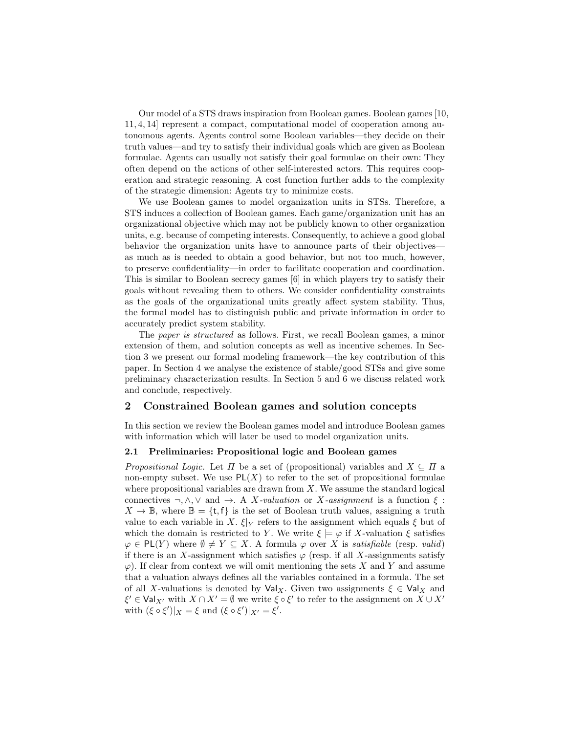Our model of a STS draws inspiration from Boolean games. Boolean games [10, 11, 4, 14] represent a compact, computational model of cooperation among autonomous agents. Agents control some Boolean variables—they decide on their truth values—and try to satisfy their individual goals which are given as Boolean formulae. Agents can usually not satisfy their goal formulae on their own: They often depend on the actions of other self-interested actors. This requires cooperation and strategic reasoning. A cost function further adds to the complexity of the strategic dimension: Agents try to minimize costs.

We use Boolean games to model organization units in STSs. Therefore, a STS induces a collection of Boolean games. Each game/organization unit has an organizational objective which may not be publicly known to other organization units, e.g. because of competing interests. Consequently, to achieve a good global behavior the organization units have to announce parts of their objectives as much as is needed to obtain a good behavior, but not too much, however, to preserve confidentiality—in order to facilitate cooperation and coordination. This is similar to Boolean secrecy games [6] in which players try to satisfy their goals without revealing them to others. We consider confidentiality constraints as the goals of the organizational units greatly affect system stability. Thus, the formal model has to distinguish public and private information in order to accurately predict system stability.

The paper is structured as follows. First, we recall Boolean games, a minor extension of them, and solution concepts as well as incentive schemes. In Section 3 we present our formal modeling framework—the key contribution of this paper. In Section 4 we analyse the existence of stable/good STSs and give some preliminary characterization results. In Section 5 and 6 we discuss related work and conclude, respectively.

# 2 Constrained Boolean games and solution concepts

In this section we review the Boolean games model and introduce Boolean games with information which will later be used to model organization units.

### 2.1 Preliminaries: Propositional logic and Boolean games

*Propositional Logic.* Let  $\Pi$  be a set of (propositional) variables and  $X \subseteq \Pi$  a non-empty subset. We use  $PL(X)$  to refer to the set of propositional formulae where propositional variables are drawn from  $X$ . We assume the standard logical connectives  $\neg, \wedge, \vee \text{ and } \rightarrow$ . A X-valuation or X-assignment is a function  $\xi$ :  $X \to \mathbb{B}$ , where  $\mathbb{B} = \{t, f\}$  is the set of Boolean truth values, assigning a truth value to each variable in X.  $\xi|_Y$  refers to the assignment which equals  $\xi$  but of which the domain is restricted to Y. We write  $\xi \models \varphi$  if X-valuation  $\xi$  satisfies  $\varphi \in PL(Y)$  where  $\emptyset \neq Y \subseteq X$ . A formula  $\varphi$  over X is satisfiable (resp. valid) if there is an X-assignment which satisfies  $\varphi$  (resp. if all X-assignments satisfy  $\varphi$ ). If clear from context we will omit mentioning the sets X and Y and assume that a valuation always defines all the variables contained in a formula. The set of all X-valuations is denoted by  $\text{Val}_X$ . Given two assignments  $\xi \in \text{Val}_X$  and  $\xi' \in \text{Val}_{X'}$  with  $X \cap X' = \emptyset$  we write  $\xi \circ \xi'$  to refer to the assignment on  $X \cup X'$ with  $(\xi \circ \xi')|_X = \xi$  and  $(\xi \circ \xi')|_{X'} = \xi'$ .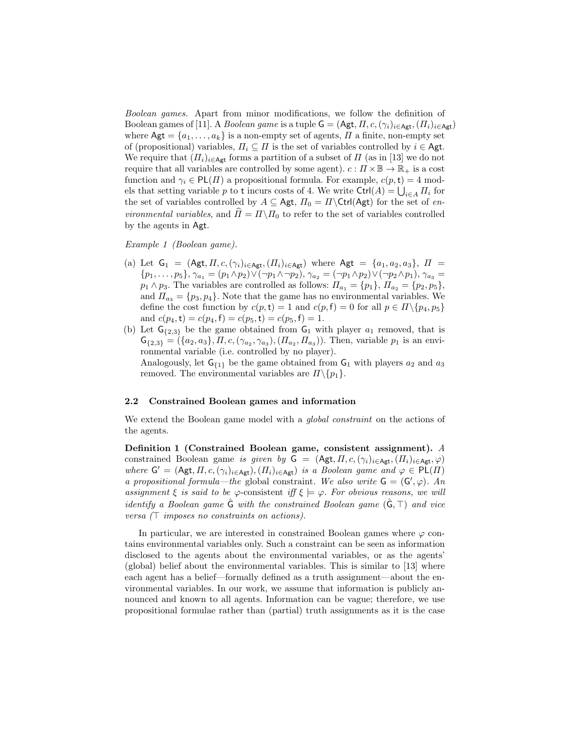Boolean games. Apart from minor modifications, we follow the definition of Boolean games of [11]. A Boolean game is a tuple  $G = (Agt, \Pi, c, (\gamma_i)_{i \in \mathsf{Agt}}, (\Pi_i)_{i \in \mathsf{Agt}})$ where  $\mathsf{Agt} = \{a_1, \ldots, a_k\}$  is a non-empty set of agents,  $\Pi$  a finite, non-empty set of (propositional) variables,  $\Pi_i \subseteq \Pi$  is the set of variables controlled by  $i \in \mathsf{Agt}$ . We require that  $(H_i)_{i \in \mathsf{Agt}}$  forms a partition of a subset of  $\Pi$  (as in [13] we do not require that all variables are controlled by some agent).  $c: \Pi \times \mathbb{B} \to \mathbb{R}_+$  is a cost function and  $\gamma_i \in PL(\Pi)$  a propositional formula. For example,  $c(p, t) = 4$  models that setting variable p to t incurs costs of 4. We write  $\text{Ctrl}(A) = \bigcup_{i \in A} \Pi_i$  for the set of variables controlled by  $A \subseteq \mathsf{Agt}$ ,  $\Pi_0 = \Pi \backslash \mathsf{Ctrl}(\mathsf{Agt})$  for the set of en*vironmental variables*, and  $\hat{\Pi} = \Pi \backslash \Pi_0$  to refer to the set of variables controlled by the agents in Agt.

### Example 1 (Boolean game).

- (a) Let  $G_1 = (Agt, \Pi, c, (\gamma_i)_{i \in Agt}, (\Pi_i)_{i \in Agt})$  where  $Agt = \{a_1, a_2, a_3\}, \Pi =$  $\{p_1, \ldots, p_5\}, \gamma_{a_1} = (p_1 \wedge p_2) \vee (\neg p_1 \wedge \neg p_2), \gamma_{a_2} = (\neg p_1 \wedge p_2) \vee (\neg p_2 \wedge p_1), \gamma_{a_3} =$  $p_1 \wedge p_3$ . The variables are controlled as follows:  $\Pi_{a_1} = \{p_1\}, \Pi_{a_2} = \{p_2, p_5\},\$ and  $\Pi_{a_3} = \{p_3, p_4\}$ . Note that the game has no environmental variables. We define the cost function by  $c(p, t) = 1$  and  $c(p, f) = 0$  for all  $p \in \Pi \setminus \{p_4, p_5\}$ and  $c(p_4, t) = c(p_4, f) = c(p_5, t) = c(p_5, f) = 1.$
- (b) Let  $G_{\{2,3\}}$  be the game obtained from  $G_1$  with player  $a_1$  removed, that is  $\mathsf{G}_{\{2,3\}} = (\{a_2, a_3\}, \Pi, c, (\gamma_{a_2}, \gamma_{a_3}), (\Pi_{a_2}, \Pi_{a_3}))$ . Then, variable  $p_1$  is an environmental variable (i.e. controlled by no player). Analogously, let  $G_{\{1\}}$  be the game obtained from  $G_1$  with players  $a_2$  and  $a_3$ removed. The environmental variables are  $\Pi \setminus \{p_1\}.$

### 2.2 Constrained Boolean games and information

We extend the Boolean game model with a *global constraint* on the actions of the agents.

Definition 1 (Constrained Boolean game, consistent assignment). A constrained Boolean game is given by  $G = (Agt, \Pi, c, (\gamma_i)_{i \in \text{Agt}}, (\Pi_i)_{i \in \text{Agt}}, \varphi)$ where  $G' = (Agt, \Pi, c, (\gamma_i)_{i \in Agt}), (\Pi_i)_{i \in Agt}$  is a Boolean game and  $\varphi \in PL(\Pi)$ a propositional formula—the global constraint. We also write  $G = (G', \varphi)$ . An assignment  $\xi$  is said to be  $\varphi$ -consistent iff  $\xi \models \varphi$ . For obvious reasons, we will identify a Boolean game  $\hat{G}$  with the constrained Boolean game  $(\hat{G}, \top)$  and vice versa  $(\top$  imposes no constraints on actions).

In particular, we are interested in constrained Boolean games where  $\varphi$  contains environmental variables only. Such a constraint can be seen as information disclosed to the agents about the environmental variables, or as the agents' (global) belief about the environmental variables. This is similar to [13] where each agent has a belief—formally defined as a truth assignment—about the environmental variables. In our work, we assume that information is publicly announced and known to all agents. Information can be vague; therefore, we use propositional formulae rather than (partial) truth assignments as it is the case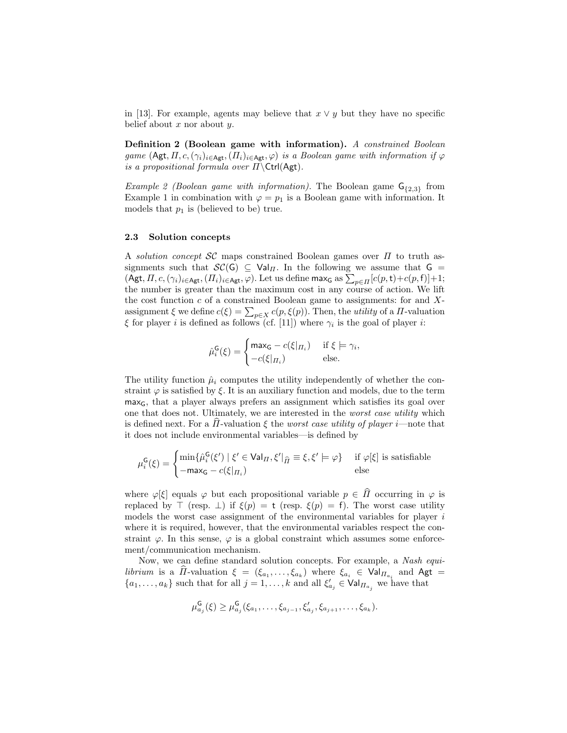in [13]. For example, agents may believe that  $x \vee y$  but they have no specific belief about  $x$  nor about  $y$ .

Definition 2 (Boolean game with information). A constrained Boolean game  $(Agt, \Pi, c, (\gamma_i)_{i \in \text{Agt}},(\Pi_i)_{i \in \text{Agt}}, \varphi)$  is a Boolean game with information if  $\varphi$ is a propositional formula over  $\Pi \setminus \text{Ctrl}(\textsf{Agt}).$ 

*Example 2 (Boolean game with information)*. The Boolean game  $G_{\{2,3\}}$  from Example 1 in combination with  $\varphi = p_1$  is a Boolean game with information. It models that  $p_1$  is (believed to be) true.

### 2.3 Solution concepts

A solution concept  $\mathcal{SC}$  maps constrained Boolean games over  $\Pi$  to truth assignments such that  $\mathcal{SC}(G) \subseteq \text{Val}_{\Pi}$ . In the following we assume that  $G =$  $(\mathsf{Agt}, \Pi, c, (\gamma_i)_{i \in \mathsf{Agt}},(\Pi_i)_{i \in \mathsf{Agt}}, \varphi)$ . Let us define max<sub>G</sub> as  $\sum_{p \in \Pi} [c(p, t) + c(p, f)] + 1;$ the number is greater than the maximum cost in any course of action. We lift the cost function  $c$  of a constrained Boolean game to assignments: for and  $X$ assignment  $\xi$  we define  $c(\xi) = \sum_{p \in X} c(p, \xi(p))$ . Then, the *utility* of a  $\Pi$ -valuation  $\xi$  for player *i* is defined as follows (cf. [11]) where  $\gamma_i$  is the goal of player *i*:

$$
\hat{\mu}_{i}^{\mathsf{G}}(\xi) = \begin{cases}\n\max_{\mathsf{G}} - c(\xi|_{\Pi_{i}}) & \text{if } \xi \models \gamma_{i}, \\
-c(\xi|_{\Pi_{i}}) & \text{else.} \n\end{cases}
$$

The utility function  $\hat{\mu}_i$  computes the utility independently of whether the constraint  $\varphi$  is satisfied by  $\xi$ . It is an auxiliary function and models, due to the term  $max<sub>G</sub>$ , that a player always prefers an assignment which satisfies its goal over one that does not. Ultimately, we are interested in the worst case utility which is defined next. For a  $\overline{H}$ -valuation  $\xi$  the worst case utility of player i—note that it does not include environmental variables—is defined by

$$
\mu_i^{\mathsf{G}}(\xi) = \begin{cases} \min \{ \hat{\mu}_i^{\mathsf{G}}(\xi') \mid \xi' \in \mathsf{Val}_{\Pi}, \xi' |_{\widehat{\Pi}} \equiv \xi, \xi' \models \varphi \} & \text{if } \varphi[\xi] \text{ is satisfiable} \\ -\max_{\mathsf{G}} - c(\xi |_{\Pi_i}) & \text{else} \end{cases}
$$

where  $\varphi[\xi]$  equals  $\varphi$  but each propositional variable  $p \in \hat{\Pi}$  occurring in  $\varphi$  is replaced by  $\top$  (resp.  $\bot$ ) if  $\xi(p) = t$  (resp.  $\xi(p) = f$ ). The worst case utility models the worst case assignment of the environmental variables for player  $i$ where it is required, however, that the environmental variables respect the constraint  $\varphi$ . In this sense,  $\varphi$  is a global constraint which assumes some enforcement/communication mechanism.

Now, we can define standard solution concepts. For example, a Nash equilibrium is a  $\Pi$ -valuation  $\xi = (\xi_{a_1}, \dots, \xi_{a_k})$  where  $\xi_{a_i} \in \text{Val}_{\Pi_{a_i}}$  and  $\text{Agt} =$  $\{a_1, \ldots, a_k\}$  such that for all  $j = 1, \ldots, k$  and all  $\xi'_{a_j} \in \text{Val}_{\Pi_{a_j}}$  we have that

$$
\mu_{a_j}^{\mathsf{G}}(\xi) \geq \mu_{a_j}^{\mathsf{G}}(\xi_{a_1}, \ldots, \xi_{a_{j-1}}, \xi'_{a_j}, \xi_{a_{j+1}}, \ldots, \xi_{a_k}).
$$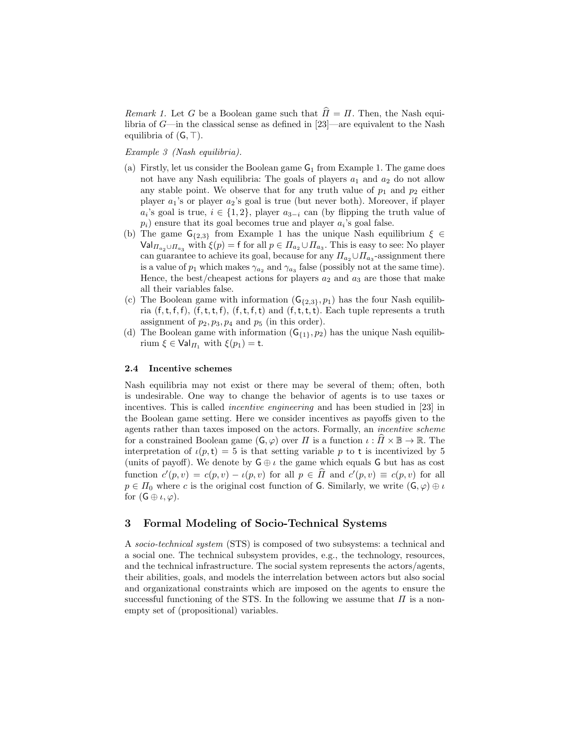*Remark 1.* Let G be a Boolean game such that  $\hat{\Pi} = \Pi$ . Then, the Nash equilibria of G—in the classical sense as defined in [23]—are equivalent to the Nash equilibria of  $(G, \top)$ .

Example 3 (Nash equilibria).

- (a) Firstly, let us consider the Boolean game  $G_1$  from Example 1. The game does not have any Nash equilibria: The goals of players  $a_1$  and  $a_2$  do not allow any stable point. We observe that for any truth value of  $p_1$  and  $p_2$  either player  $a_1$ 's or player  $a_2$ 's goal is true (but never both). Moreover, if player  $a_i$ 's goal is true,  $i \in \{1,2\}$ , player  $a_{3-i}$  can (by flipping the truth value of  $p_i$ ) ensure that its goal becomes true and player  $a_i$ 's goal false.
- (b) The game  $G_{\{2,3\}}$  from Example 1 has the unique Nash equilibrium  $\xi \in$  $\mathsf{Val}_{\Pi_{a_2}\cup\Pi_{a_3}}$  with  $\xi(p)=\mathsf{f}$  for all  $p\in\Pi_{a_2}\cup\Pi_{a_3}$ . This is easy to see: No player can guarantee to achieve its goal, because for any  $\Pi_{a_2} \cup \Pi_{a_3}$ -assignment there is a value of  $p_1$  which makes  $\gamma_{a_2}$  and  $\gamma_{a_3}$  false (possibly not at the same time). Hence, the best/cheapest actions for players  $a_2$  and  $a_3$  are those that make all their variables false.
- (c) The Boolean game with information  $(G_{\{2,3\}}, p_1)$  has the four Nash equilibria  $(f, t, f, f)$ ,  $(f, t, t, f)$ ,  $(f, t, f, t)$  and  $(f, t, t, t)$ . Each tuple represents a truth assignment of  $p_2, p_3, p_4$  and  $p_5$  (in this order).
- (d) The Boolean game with information  $(G_{\{1\}}, p_2)$  has the unique Nash equilibrium  $\xi \in \text{Val}_{\Pi_1}$  with  $\xi(p_1) = \text{t}$ .

### 2.4 Incentive schemes

Nash equilibria may not exist or there may be several of them; often, both is undesirable. One way to change the behavior of agents is to use taxes or incentives. This is called incentive engineering and has been studied in [23] in the Boolean game setting. Here we consider incentives as payoffs given to the agents rather than taxes imposed on the actors. Formally, an incentive scheme for a constrained Boolean game  $(G, \varphi)$  over  $\Pi$  is a function  $\iota : \Pi \times \mathbb{B} \to \mathbb{R}$ . The interpretation of  $\iota(p,t) = 5$  is that setting variable p to t is incentivized by 5 (units of payoff). We denote by  $\mathsf{G} \oplus \iota$  the game which equals  $\mathsf{G}$  but has as cost function  $c'(p, v) = c(p, v) - \iota(p, v)$  for all  $p \in \widehat{H}$  and  $c'(p, v) \equiv c(p, v)$  for all  $p \in \Pi_0$  where c is the original cost function of G. Similarly, we write  $(G, \varphi) \oplus \iota$ for  $(G \oplus \iota, \varphi)$ .

# 3 Formal Modeling of Socio-Technical Systems

A socio-technical system (STS) is composed of two subsystems: a technical and a social one. The technical subsystem provides, e.g., the technology, resources, and the technical infrastructure. The social system represents the actors/agents, their abilities, goals, and models the interrelation between actors but also social and organizational constraints which are imposed on the agents to ensure the successful functioning of the STS. In the following we assume that  $\Pi$  is a nonempty set of (propositional) variables.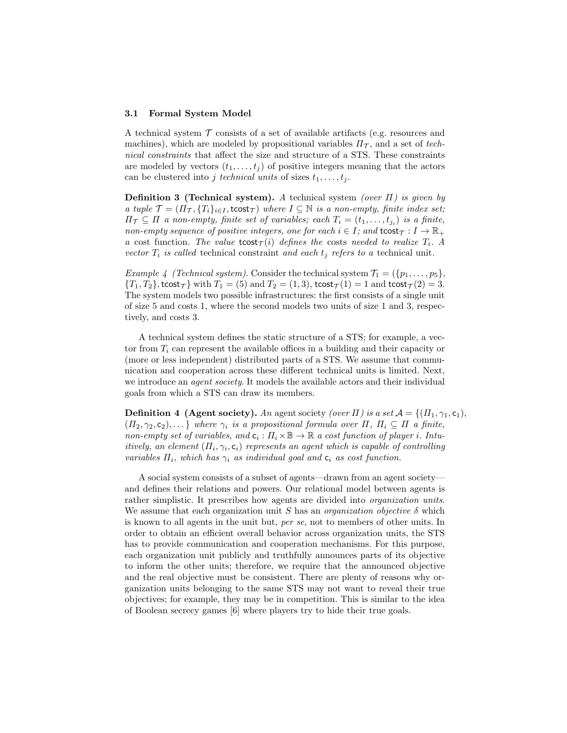#### 3.1 Formal System Model

A technical system  $\mathcal T$  consists of a set of available artifacts (e.g. resources and machines), which are modeled by propositional variables  $\Pi_{\mathcal{T}}$ , and a set of technical constraints that affect the size and structure of a STS. These constraints are modeled by vectors  $(t_1, \ldots, t_i)$  of positive integers meaning that the actors can be clustered into j technical units of sizes  $t_1, \ldots, t_j$ .

**Definition 3 (Technical system).** A technical system (over  $\Pi$ ) is given by a tuple  $\mathcal{T} = (\Pi_{\mathcal{T}}, \{T_i\}_{i \in I}, \text{tost}_{\mathcal{T}})$  where  $I \subseteq \mathbb{N}$  is a non-empty, finite index set;  $\Pi_{\mathcal{T}} \subseteq \Pi$  a non-empty, finite set of variables; each  $T_i = (t_1, \ldots, t_{j_i})$  is a finite, non-empty sequence of positive integers, one for each  $i \in I$ ; and  $\text{tost}_{\mathcal{T}} : I \to \mathbb{R}_+$ a cost function. The value  $\text{tostr}_\tau(i)$  defines the costs needed to realize  $T_i$ . A vector  $T_i$  is called technical constraint and each  $t_j$  refers to a technical unit.

Example 4 (Technical system). Consider the technical system  $\mathcal{T}_1 = (\{p_1, \ldots, p_5\},\$  ${T_1, T_2}$ , tcost $\tau$ } with  $T_1 = (5)$  and  $T_2 = (1, 3)$ , tcost $\tau(1) = 1$  and tcost $\tau(2) = 3$ . The system models two possible infrastructures: the first consists of a single unit of size 5 and costs 1, where the second models two units of size 1 and 3, respectively, and costs 3.

A technical system defines the static structure of a STS; for example, a vector from  $T_i$  can represent the available offices in a building and their capacity or (more or less independent) distributed parts of a STS. We assume that communication and cooperation across these different technical units is limited. Next, we introduce an *agent society*. It models the available actors and their individual goals from which a STS can draw its members.

**Definition 4 (Agent society).** An agent society (over  $\Pi$ ) is a set  $A = \{(\Pi_1, \gamma_1, \mathsf{c}_1),$  $(T_1, \gamma_2, c_2), \ldots$  where  $\gamma_i$  is a propositional formula over  $\Pi$ ,  $\Pi_i \subseteq \Pi$  a finite, non-empty set of variables, and  $c_i: \Pi_i \times \mathbb{B} \to \mathbb{R}$  a cost function of player i. Intuitively, an element  $(\Pi_i, \gamma_i, c_i)$  represents an agent which is capable of controlling variables  $\Pi_i$ , which has  $\gamma_i$  as individual goal and  $c_i$  as cost function.

A social system consists of a subset of agents—drawn from an agent society and defines their relations and powers. Our relational model between agents is rather simplistic. It prescribes how agents are divided into *organization units*. We assume that each organization unit S has an *organization objective*  $\delta$  which is known to all agents in the unit but, per se, not to members of other units. In order to obtain an efficient overall behavior across organization units, the STS has to provide communication and cooperation mechanisms. For this purpose, each organization unit publicly and truthfully announces parts of its objective to inform the other units; therefore, we require that the announced objective and the real objective must be consistent. There are plenty of reasons why organization units belonging to the same STS may not want to reveal their true objectives; for example, they may be in competition. This is similar to the idea of Boolean secrecy games [6] where players try to hide their true goals.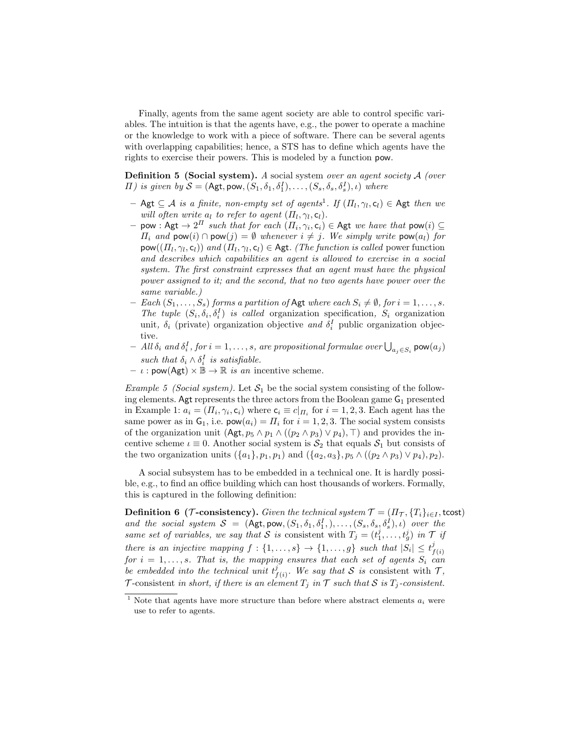Finally, agents from the same agent society are able to control specific variables. The intuition is that the agents have, e.g., the power to operate a machine or the knowledge to work with a piece of software. There can be several agents with overlapping capabilities; hence, a STS has to define which agents have the rights to exercise their powers. This is modeled by a function pow.

**Definition 5 (Social system).** A social system over an agent society  $\mathcal{A}$  (over  $\Pi$ ) is given by  $S = (Agt, pow, (S_1, \delta_1, \delta_1^I), \ldots, (S_s, \delta_s, \delta_s^I), \iota)$  where

- $-$  Agt  $\subseteq A$  is a finite, non-empty set of agents<sup>1</sup>. If  $(\Pi_l, \gamma_l, c_l) \in$  Agt then we will often write  $a_l$  to refer to agent  $(\Pi_l, \gamma_l, c_l)$ .
- $-$  pow : Agt  $\rightarrow 2^{\Pi}$  such that for each  $(\Pi_i, \gamma_i, c_i) \in$  Agt we have that pow $(i) \subseteq$  $\Pi_i$  and  $\mathsf{pow}(i) \cap \mathsf{pow}(j) = \emptyset$  whenever  $i \neq j$ . We simply write  $\mathsf{pow}(a_i)$  for  $\text{pow}((\Pi_l, \gamma_l, c_l))$  and  $(\Pi_l, \gamma_l, c_l) \in \text{Agt.}$  (The function is called power function and describes which capabilities an agent is allowed to exercise in a social system. The first constraint expresses that an agent must have the physical power assigned to it; and the second, that no two agents have power over the same variable.)
- Each  $(S_1, \ldots, S_s)$  forms a partition of Agt where each  $S_i \neq \emptyset$ , for  $i = 1, \ldots, s$ . The tuple  $(S_i, \delta_i, \delta_i^I)$  is called organization specification,  $S_i$  organization unit,  $\delta_i$  (private) organization objective and  $\delta_i^I$  public organization objective.
- $-$  All  $\delta_i$  and  $\delta_i^I$ , for  $i = 1, \ldots, s$ , are propositional formulae over  $\bigcup_{a_j \in S_i}$  pow $(a_j)$ such that  $\delta_i \wedge \delta_i^I$  is satisfiable.
- $\iota : \text{pow}(\mathsf{Agt}) \times \mathbb{B} \to \mathbb{R}$  is an incentive scheme.

*Example 5 (Social system)*. Let  $S_1$  be the social system consisting of the following elements. Agt represents the three actors from the Boolean game  $G_1$  presented in Example 1:  $a_i = (I_i, \gamma_i, \mathsf{c}_i)$  where  $\mathsf{c}_i \equiv c|_{\Pi_i}$  for  $i = 1, 2, 3$ . Each agent has the same power as in  $G_1$ , i.e.  $pow(a_i) = \prod_i$  for  $i = 1, 2, 3$ . The social system consists of the organization unit  $(Agt, p_5 \wedge p_1 \wedge ((p_2 \wedge p_3) \vee p_4), \top)$  and provides the incentive scheme  $\iota \equiv 0$ . Another social system is  $S_2$  that equals  $S_1$  but consists of the two organization units  $({a_1}, p_1, p_1)$  and  $({a_2}, a_3), p_5 \wedge (p_2 \wedge p_3) \vee p_4, p_2)$ .

A social subsystem has to be embedded in a technical one. It is hardly possible, e.g., to find an office building which can host thousands of workers. Formally, this is captured in the following definition:

**Definition 6** (*T*-consistency). Given the technical system  $\mathcal{T} = (H_{\mathcal{T}}, \{T_i\}_{i \in I}, \text{tcost})$ and the social system  $S = (Agt, pow, (S_1, \delta_1, \delta_1^I,),..., (S_s, \delta_s, \delta_s^I), \iota)$  over the same set of variables, we say that S is consistent with  $T_j = (t_1^j, \ldots, t_g^j)$  in T if there is an injective mapping  $f: \{1, \ldots, s\} \to \{1, \ldots, g\}$  such that  $|S_i| \leq t_f^j$  $f(i)$ for  $i = 1, \ldots, s$ . That is, the mapping ensures that each set of agents  $S_i$  can be embedded into the technical unit  $t_i^j$  $\int_{f(i)}^j$ . We say that S is consistent with T, T-consistent in short, if there is an element  $T_i$  in  $\mathcal T$  such that  $\mathcal S$  is  $T_i$ -consistent.

<sup>&</sup>lt;sup>1</sup> Note that agents have more structure than before where abstract elements  $a_i$  were use to refer to agents.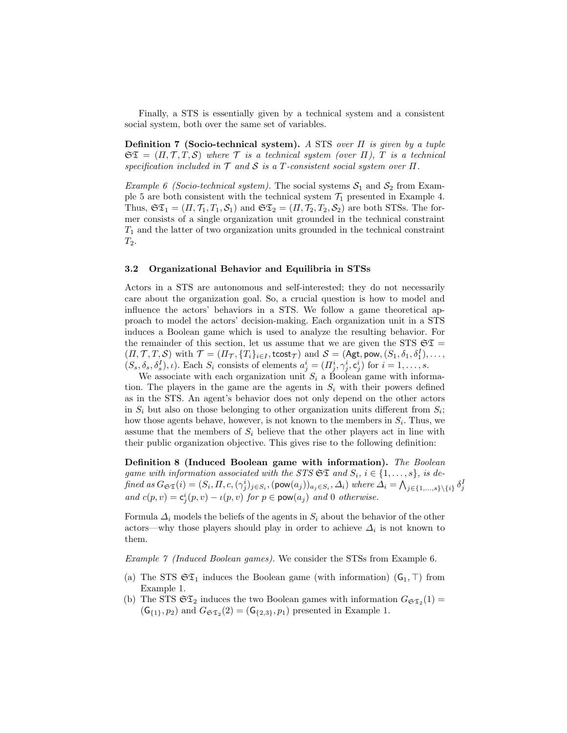Finally, a STS is essentially given by a technical system and a consistent social system, both over the same set of variables.

Definition 7 (Socio-technical system). A STS over  $\Pi$  is given by a tuple  $\mathfrak{ST} = (\Pi, \mathcal{T}, T, \mathcal{S})$  where  $\mathcal T$  is a technical system (over  $\Pi$ ),  $T$  is a technical specification included in  $\mathcal T$  and  $\mathcal S$  is a T-consistent social system over  $\Pi$ .

*Example 6 (Socio-technical system)*. The social systems  $S_1$  and  $S_2$  from Example 5 are both consistent with the technical system  $\mathcal{T}_1$  presented in Example 4. Thus,  $\mathfrak{ST}_1 = (\Pi, \mathcal{T}_1, T_1, \mathcal{S}_1)$  and  $\mathfrak{ST}_2 = (\Pi, \mathcal{T}_2, T_2, \mathcal{S}_2)$  are both STSs. The former consists of a single organization unit grounded in the technical constraint  $T_1$  and the latter of two organization units grounded in the technical constraint  $T_2$ .

### 3.2 Organizational Behavior and Equilibria in STSs

Actors in a STS are autonomous and self-interested; they do not necessarily care about the organization goal. So, a crucial question is how to model and influence the actors' behaviors in a STS. We follow a game theoretical approach to model the actors' decision-making. Each organization unit in a STS induces a Boolean game which is used to analyze the resulting behavior. For the remainder of this section, let us assume that we are given the STS  $\mathfrak{ST} =$  $(\Pi, \mathcal{T}, T, \mathcal{S})$  with  $\mathcal{T} = (\Pi_{\mathcal{T}}, \{T_i\}_{i \in I}, \mathsf{tcost}_{\mathcal{T}})$  and  $\mathcal{S} = (\mathsf{Agt}, \mathsf{pow}, (S_1, \delta_1, \delta_1^I), \dots,$  $(S_s, \delta_s, \delta_s^I), \iota$ ). Each  $S_i$  consists of elements  $a_j^i = (\Pi_j^i, \gamma_j^i, \mathbf{c}_j^i)$  for  $i = 1, \ldots, s$ .

We associate with each organization unit  $S_i$  a Boolean game with information. The players in the game are the agents in  $S_i$  with their powers defined as in the STS. An agent's behavior does not only depend on the other actors in  $S_i$  but also on those belonging to other organization units different from  $S_i$ ; how those agents behave, however, is not known to the members in  $S_i$ . Thus, we assume that the members of  $S_i$  believe that the other players act in line with their public organization objective. This gives rise to the following definition:

Definition 8 (Induced Boolean game with information). The Boolean game with information associated with the STS  $\mathfrak{ST}$  and  $S_i$ ,  $i \in \{1, \ldots, s\}$ , is defined as  $G_{\mathfrak{S} \mathfrak{T}}(i) = (S_i, \Pi, c, (\gamma_i^i)_{j \in S_i}, (\text{pow}(a_j))_{a_j \in S_i}, \Delta_i)$  where  $\Delta_i = \bigwedge_{j \in \{1, ..., s\} \setminus \{i\}} \delta_j^I$ and  $c(p, v) = c_j^i(p, v) - \iota(p, v)$  for  $p \in \text{pow}(a_j)$  and 0 otherwise.

Formula  $\Delta_i$  models the beliefs of the agents in  $S_i$  about the behavior of the other actors—why those players should play in order to achieve  $\Delta_i$  is not known to them.

Example 7 (Induced Boolean games). We consider the STSs from Example 6.

- (a) The STS  $\mathfrak{ST}_1$  induces the Boolean game (with information)  $(\mathsf{G}_1, \top)$  from Example 1.
- (b) The STS  $\mathfrak{ST}_2$  induces the two Boolean games with information  $G_{\mathfrak{ST}_2}(1) =$  $(G_{\{1\}}, p_2)$  and  $G_{\mathfrak{ST}_2}(2) = (G_{\{2,3\}}, p_1)$  presented in Example 1.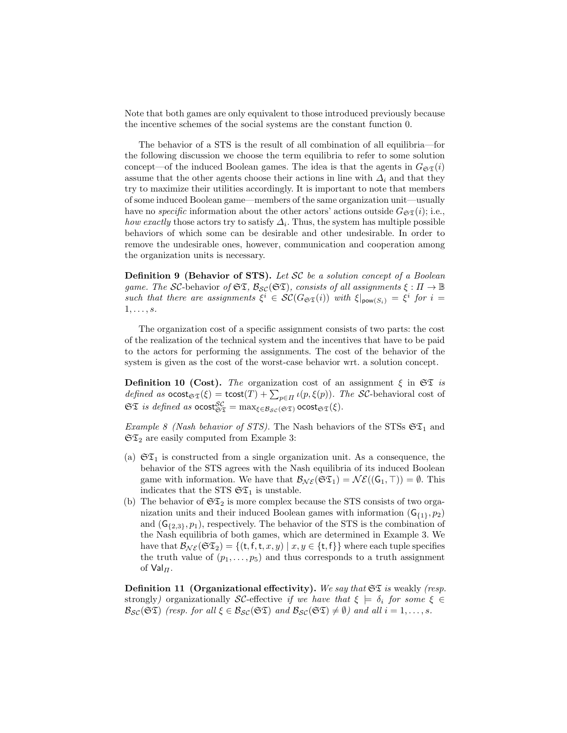Note that both games are only equivalent to those introduced previously because the incentive schemes of the social systems are the constant function 0.

The behavior of a STS is the result of all combination of all equilibria—for the following discussion we choose the term equilibria to refer to some solution concept—of the induced Boolean games. The idea is that the agents in  $G_{\mathfrak{ST}}(i)$ assume that the other agents choose their actions in line with  $\Delta_i$  and that they try to maximize their utilities accordingly. It is important to note that members of some induced Boolean game—members of the same organization unit—usually have no specific information about the other actors' actions outside  $G_{\mathfrak{S}(\mathfrak{T})}$  i.e., how exactly those actors try to satisfy  $\Delta_i$ . Thus, the system has multiple possible behaviors of which some can be desirable and other undesirable. In order to remove the undesirable ones, however, communication and cooperation among the organization units is necessary.

Definition 9 (Behavior of STS). Let SC be a solution concept of a Boolean game. The SC-behavior of  $\mathfrak{ST}, \mathcal{B}_{\mathcal{SC}}(\mathfrak{ST})$ , consists of all assignments  $\xi : \Pi \to \mathbb{B}$ such that there are assignments  $\xi^i \in \mathcal{SC}(G_{\mathfrak{ST}}(i))$  with  $\xi|_{\text{pow}(S_i)} = \xi^i$  for  $i =$  $1, \ldots, s$ .

The organization cost of a specific assignment consists of two parts: the cost of the realization of the technical system and the incentives that have to be paid to the actors for performing the assignments. The cost of the behavior of the system is given as the cost of the worst-case behavior wrt. a solution concept.

**Definition 10 (Cost).** The organization cost of an assignment  $\xi$  in  $\mathfrak{ST}$  is *defined as*  $\text{ocost}_{\mathfrak{S}\mathfrak{T}}(\xi) = \text{tcost}(T) + \sum_{p \in \Pi} \iota(p, \xi(p))$ . The SC-behavioral cost of  $\mathfrak{ST}$  is defined as  $\mathrm{ocost}^{\mathcal{SC}}_{\mathfrak{ST}} = \max_{\xi \in \mathcal{B}_{\mathcal{SC}}(\mathfrak{ST})} \mathrm{ocost}_{\mathfrak{ST}}(\xi).$ 

Example 8 (Nash behavior of STS). The Nash behaviors of the STSs  $\mathfrak{ST}_1$  and  $\mathfrak{ST}_2$  are easily computed from Example 3:

- (a)  $\mathfrak{ST}_1$  is constructed from a single organization unit. As a consequence, the behavior of the STS agrees with the Nash equilibria of its induced Boolean game with information. We have that  $\mathcal{B}_{N\mathcal{E}}(\mathfrak{S} \mathfrak{T}_1) = \mathcal{N}\mathcal{E}((\mathsf{G}_1, \top)) = \emptyset$ . This indicates that the STS  $\mathfrak{ST}_1$  is unstable.
- (b) The behavior of  $\mathfrak{SZ}_2$  is more complex because the STS consists of two organization units and their induced Boolean games with information  $(G_{\{1\}}, p_2)$ and  $(G_{\{2,3\}}, p_1)$ , respectively. The behavior of the STS is the combination of the Nash equilibria of both games, which are determined in Example 3. We have that  $\mathcal{B}_{\mathcal{NE}}(\mathfrak{SZ}_2) = \{(t, f, t, x, y) \mid x, y \in \{t, f\}\}\$  where each tuple specifies the truth value of  $(p_1, \ldots, p_5)$  and thus corresponds to a truth assignment of  $Val_{\Pi}$ .

**Definition 11 (Organizational effectivity).** We say that  $\mathfrak{ST}$  is weakly (resp. strongly) organizationally SC-effective if we have that  $\xi \models \delta_i$  for some  $\xi \in$  $\mathcal{B}_{\mathcal{SC}}(\mathfrak{ST})$  (resp. for all  $\xi \in \mathcal{B}_{\mathcal{SC}}(\mathfrak{ST})$  and  $\mathcal{B}_{\mathcal{SC}}(\mathfrak{ST}) \neq \emptyset$ ) and all  $i = 1, \ldots, s$ .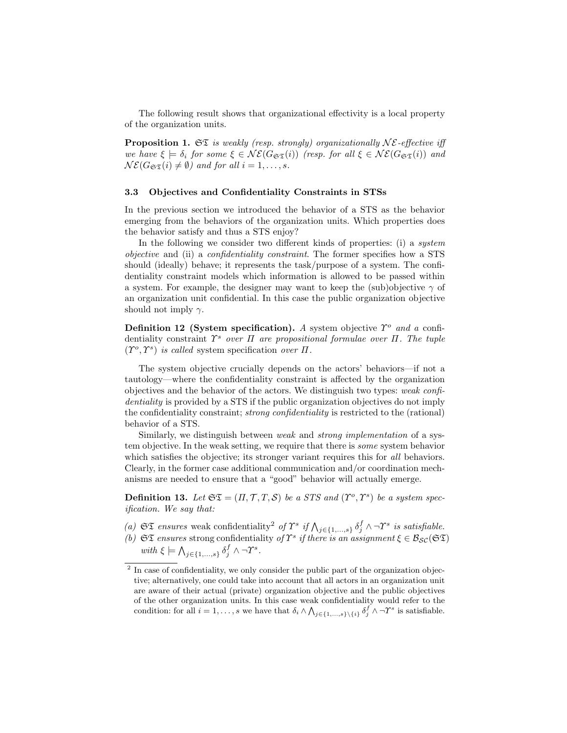The following result shows that organizational effectivity is a local property of the organization units.

**Proposition 1.**  $\mathfrak{S}\mathfrak{T}$  is weakly (resp. strongly) organizationally  $N\mathcal{E}$ -effective iff we have  $\xi \models \delta_i$  for some  $\xi \in \mathcal{NE}(G_{\mathfrak{ST}}(i))$  (resp. for all  $\xi \in \mathcal{NE}(G_{\mathfrak{ST}}(i))$  and  $N\mathcal{E}(G_{\mathfrak{ST}}(i) \neq \emptyset)$  and for all  $i = 1, \ldots, s$ .

### 3.3 Objectives and Confidentiality Constraints in STSs

In the previous section we introduced the behavior of a STS as the behavior emerging from the behaviors of the organization units. Which properties does the behavior satisfy and thus a STS enjoy?

In the following we consider two different kinds of properties: (i) a system objective and (ii) a confidentiality constraint. The former specifies how a STS should (ideally) behave; it represents the task/purpose of a system. The confidentiality constraint models which information is allowed to be passed within a system. For example, the designer may want to keep the (sub)objective  $\gamma$  of an organization unit confidential. In this case the public organization objective should not imply  $\gamma$ .

Definition 12 (System specification). A system objective  $\hat{T}^o$  and a confidentiality constraint  $\hat{T}^s$  over  $\Pi$  are propositional formulae over  $\Pi$ . The tuple  $(T^o, T^s)$  is called system specification over  $\Pi$ .

The system objective crucially depends on the actors' behaviors—if not a tautology—where the confidentiality constraint is affected by the organization objectives and the behavior of the actors. We distinguish two types: weak confidentiality is provided by a STS if the public organization objectives do not imply the confidentiality constraint; strong confidentiality is restricted to the (rational) behavior of a STS.

Similarly, we distinguish between weak and strong implementation of a system objective. In the weak setting, we require that there is some system behavior which satisfies the objective; its stronger variant requires this for all behaviors. Clearly, in the former case additional communication and/or coordination mechanisms are needed to ensure that a "good" behavior will actually emerge.

**Definition 13.** Let  $\mathfrak{ST} = (\Pi, \mathcal{T}, T, \mathcal{S})$  be a STS and  $(\Upsilon^o, \Upsilon^s)$  be a system specification. We say that:

- (a)  $\mathfrak{ST}$  ensures weak confidentiality<sup>2</sup> of  $\Upsilon^s$  if  $\bigwedge_{j\in\{1,\ldots,s\}} \delta_j^f \wedge \neg \Upsilon^s$  is satisfiable.
- (b)  $\mathfrak{ST}$  ensures strong confidentiality of  $\Upsilon^s$  if there is an assignment  $\xi \in \mathcal{B}_{\mathcal{SC}}(\mathfrak{ST})$ with  $\xi \models \bigwedge_{j \in \{1,\ldots,s\}} \delta_j^f \wedge \neg \Upsilon^s$ .

<sup>&</sup>lt;sup>2</sup> In case of confidentiality, we only consider the public part of the organization objective; alternatively, one could take into account that all actors in an organization unit are aware of their actual (private) organization objective and the public objectives of the other organization units. In this case weak confidentiality would refer to the condition: for all  $i = 1, ..., s$  we have that  $\delta_i \wedge \bigwedge_{j \in \{1, ..., s\} \setminus \{i\}} \delta_j^f \wedge \neg \Upsilon^s$  is satisfiable.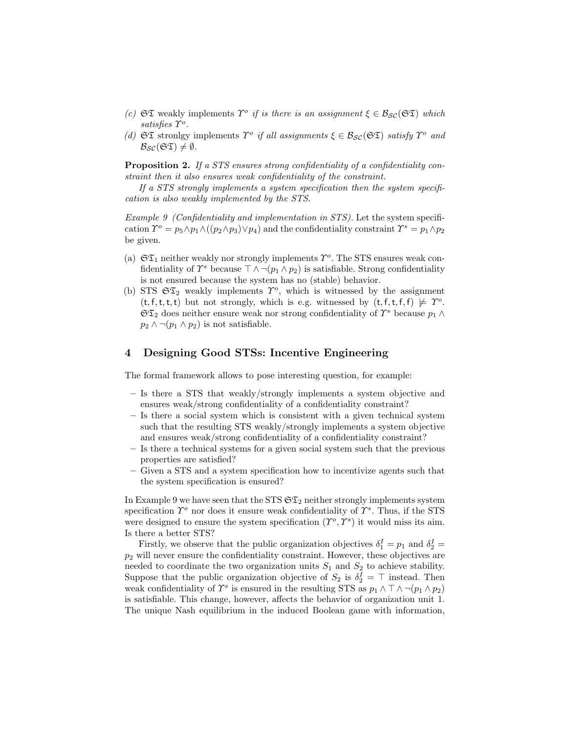- (c)  $\mathfrak{ST}$  weakly implements  $\Upsilon^o$  if is there is an assignment  $\xi \in \mathcal{B}_{\mathcal{SC}}(\mathfrak{ST})$  which satisfies  $\Upsilon^o$ .
- (d)  $\mathfrak{ST}$  stronlgy implements  $\Upsilon^o$  if all assignments  $\xi \in \mathcal{B}_{\mathcal{SC}}(\mathfrak{ST})$  satisfy  $\Upsilon^o$  and  $B_{\mathcal{SC}}(\mathfrak{ST}) \neq \emptyset$ .

Proposition 2. If a STS ensures strong confidentiality of a confidentiality constraint then it also ensures weak confidentiality of the constraint.

If a STS strongly implements a system specification then the system specification is also weakly implemented by the STS.

Example 9 (Confidentiality and implementation in STS). Let the system specification  $\hat{\mathcal{V}}^o = p_5 \wedge p_1 \wedge ((p_2 \wedge p_3) \vee p_4)$  and the confidentiality constraint  $\hat{\mathcal{V}}^s = p_1 \wedge p_2$ be given.

- (a)  $\mathfrak{ST}_1$  neither weakly nor strongly implements  $\Upsilon^o$ . The STS ensures weak confidentiality of  $\Upsilon^s$  because  $\top \wedge \neg (p_1 \wedge p_2)$  is satisfiable. Strong confidentiality is not ensured because the system has no (stable) behavior.
- (b) STS  $\mathfrak{ST}_2$  weakly implements  $\mathcal{T}^o$ , which is witnessed by the assignment  $(t, f, t, t, t)$  but not strongly, which is e.g. witnessed by  $(t, f, t, f, f) \not\models \Upsilon^o$ .  $\mathfrak{ST}_2$  does neither ensure weak nor strong confidentiality of  $\varUpsilon^s$  because  $p_1 \wedge p_2$  $p_2 \wedge \neg (p_1 \wedge p_2)$  is not satisfiable.

# 4 Designing Good STSs: Incentive Engineering

The formal framework allows to pose interesting question, for example:

- Is there a STS that weakly/strongly implements a system objective and ensures weak/strong confidentiality of a confidentiality constraint?
- Is there a social system which is consistent with a given technical system such that the resulting STS weakly/strongly implements a system objective and ensures weak/strong confidentiality of a confidentiality constraint?
- Is there a technical systems for a given social system such that the previous properties are satisfied?
- Given a STS and a system specification how to incentivize agents such that the system specification is ensured?

In Example 9 we have seen that the STS  $\mathfrak{ST}_2$  neither strongly implements system specification  $\hat{\mathcal{V}}^o$  nor does it ensure weak confidentiality of  $\hat{\mathcal{V}}^s$ . Thus, if the STS were designed to ensure the system specification  $(\Upsilon^o, \Upsilon^s)$  it would miss its aim. Is there a better STS?

Firstly, we observe that the public organization objectives  $\delta_1^I = p_1$  and  $\delta_2^I =$  $p_2$  will never ensure the confidentiality constraint. However, these objectives are needed to coordinate the two organization units  $S_1$  and  $S_2$  to achieve stability. Suppose that the public organization objective of  $S_2$  is  $\delta_2^I = \top$  instead. Then weak confidentiality of  $\Upsilon^s$  is ensured in the resulting STS as  $p_1 \wedge \top \wedge \neg (p_1 \wedge p_2)$ is satisfiable. This change, however, affects the behavior of organization unit 1. The unique Nash equilibrium in the induced Boolean game with information,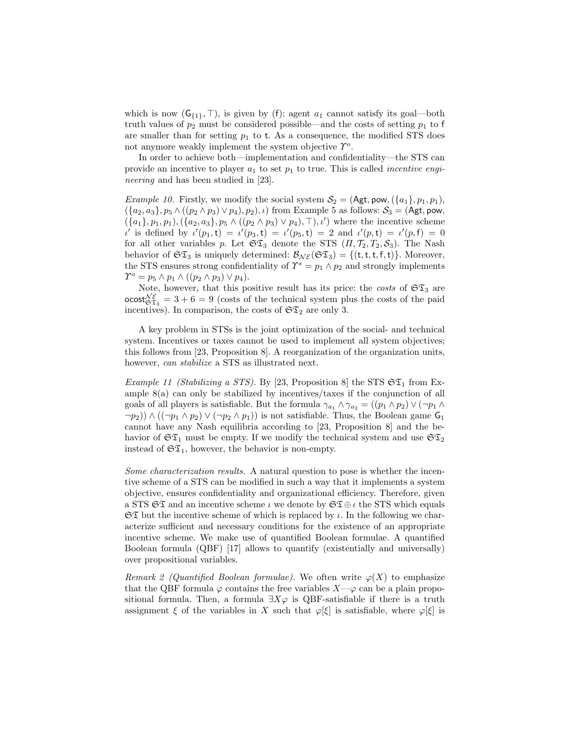which is now  $(G_{\{1\}}, \top)$ , is given by (f): agent  $a_1$  cannot satisfy its goal—both truth values of  $p_2$  must be considered possible—and the costs of setting  $p_1$  to f are smaller than for setting  $p_1$  to t. As a consequence, the modified STS does not anymore weakly implement the system objective  $\Upsilon^o$ .

In order to achieve both—implementation and confidentiality—the STS can provide an incentive to player  $a_1$  to set  $p_1$  to true. This is called *incentive engi*neering and has been studied in [23].

*Example 10.* Firstly, we modify the social system  $S_2 = (Agt, pow, (\{a_1\}, p_1, p_1),$  $({a_2, a_3}, p_5 \wedge ((p_2 \wedge p_3) \vee p_4), p_2), \iota)$  from Example 5 as follows:  $\mathcal{S}_3 = (Agt, pow,$  $({a_1}, p_1, p_1), ({a_2}, a_3, p_5 \wedge ( (p_2 \wedge p_3) \vee p_4), \top), \iota'$  where the incentive scheme  $u'$  is defined by  $u'(p_1, t) = u'(p_3, t) = u'(p_5, t) = 2$  and  $u'(p, t) = u'(p, t) = 0$ for all other variables p. Let  $\mathfrak{ST}_3$  denote the STS  $(\Pi, \mathcal{T}_2, T_2, \mathcal{S}_3)$ . The Nash behavior of  $\mathfrak{ST}_3$  is uniquely determined:  $\mathcal{B}_{N\mathcal{E}}(\mathfrak{ST}_3) = \{(t, t, t, f, t)\}\$ . Moreover, the STS ensures strong confidentiality of  $\Upsilon^s = p_1 \wedge p_2$  and strongly implements  $\Upsilon^o = p_5 \wedge p_1 \wedge ((p_2 \wedge p_3) \vee p_4).$ 

Note, however, that this positive result has its price: the costs of  $\mathfrak{ST}_3$  are  $\text{ocost}_{\mathfrak{S} \mathfrak{T}_3}^{\mathcal{NE}} = 3 + 6 = 9$  (costs of the technical system plus the costs of the paid incentives). In comparison, the costs of  $\mathfrak{ST}_2$  are only 3.

A key problem in STSs is the joint optimization of the social- and technical system. Incentives or taxes cannot be used to implement all system objectives; this follows from [23, Proposition 8]. A reorganization of the organization units, however, *can stabilize* a STS as illustrated next.

Example 11 (Stabilizing a STS). By [23, Proposition 8] the STS  $\mathfrak{ST}_1$  from Example 8(a) can only be stabilized by incentives/taxes if the conjunction of all goals of all players is satisfiable. But the formula  $\gamma_{a_1} \wedge \gamma_{a_2} = ((p_1 \wedge p_2) \vee (\neg p_1 \wedge p_2))$  $\neg p_2)$ )  $\wedge ((\neg p_1 \wedge p_2) \vee (\neg p_2 \wedge p_1))$  is not satisfiable. Thus, the Boolean game  $\mathsf{G}_1$ cannot have any Nash equilibria according to [23, Proposition 8] and the behavior of  $\mathfrak{ST}_1$  must be empty. If we modify the technical system and use  $\mathfrak{ST}_2$ instead of  $\mathfrak{ST}_1$ , however, the behavior is non-empty.

Some characterization results. A natural question to pose is whether the incentive scheme of a STS can be modified in such a way that it implements a system objective, ensures confidentiality and organizational efficiency. Therefore, given a STS  $\mathfrak{ST}$  and an incentive scheme  $\iota$  we denote by  $\mathfrak{ST} \oplus \iota$  the STS which equals  $\mathfrak{ST}$  but the incentive scheme of which is replaced by  $\iota$ . In the following we characterize sufficient and necessary conditions for the existence of an appropriate incentive scheme. We make use of quantified Boolean formulae. A quantified Boolean formula (QBF) [17] allows to quantify (existentially and universally) over propositional variables.

Remark 2 (Quantified Boolean formulae). We often write  $\varphi(X)$  to emphasize that the QBF formula  $\varphi$  contains the free variables  $X-\varphi$  can be a plain propositional formula. Then, a formula  $\exists X \varphi$  is QBF-satisfiable if there is a truth assignment  $\xi$  of the variables in X such that  $\varphi[\xi]$  is satisfiable, where  $\varphi[\xi]$  is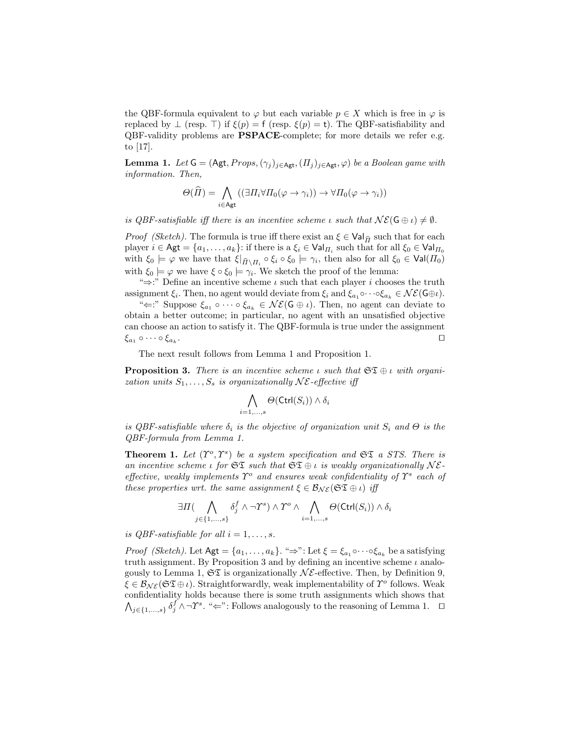the QBF-formula equivalent to  $\varphi$  but each variable  $p \in X$  which is free in  $\varphi$  is replaced by  $\perp$  (resp.  $\top$ ) if  $\xi(p) = f$  (resp.  $\xi(p) = t$ ). The QBF-satisfiability and QBF-validity problems are PSPACE-complete; for more details we refer e.g. to [17].

**Lemma 1.** Let  $G = (Agt, Props, (\gamma_i)_{i \in Agt}, (H_i)_{i \in Agt}, \varphi)$  be a Boolean game with information. Then,

$$
\Theta(\widehat{\Pi}) = \bigwedge_{i \in \mathsf{Agt}} ((\exists \Pi_i \forall \Pi_0(\varphi \to \gamma_i)) \to \forall \Pi_0(\varphi \to \gamma_i))
$$

is QBF-satisfiable iff there is an incentive scheme  $\iota$  such that  $\mathcal{NE}(\mathsf{G} \oplus \iota) \neq \emptyset$ .

*Proof (Sketch)*. The formula is true iff there exist an  $\xi \in \text{Val}_{\widehat{H}}$  such that for each player  $i \in \mathsf{Agt} = \{a_1, \ldots, a_k\}$ : if there is a  $\xi_i \in \mathsf{Val}_{\Pi_i}$  such that for all  $\xi_0 \in \mathsf{Val}_{\Pi_0}$ with  $\xi_0 \models \varphi$  we have that  $\xi|_{\widehat{\Pi} \setminus \Pi_i} \circ \xi_i \circ \xi_0 \models \gamma_i$ , then also for all  $\xi_0 \in \text{Val}(\Pi_0)$ with  $\xi_0 \models \varphi$  we have  $\xi \circ \xi_0 \models \gamma_i$ . We sketch the proof of the lemma:

" $\Rightarrow$ :" Define an incentive scheme  $\iota$  such that each player  $i$  chooses the truth assignment  $\xi_i$ . Then, no agent would deviate from  $\xi_i$  and  $\xi_{a_1} \circ \cdots \circ \xi_{a_k} \in \mathcal{NE}(\mathsf{G} \oplus \iota)$ .

" $\Leftarrow$ :" Suppose  $\xi_{a_1} \circ \cdots \circ \xi_{a_k} \in \mathcal{NE}(\mathsf{G} \oplus \iota)$ . Then, no agent can deviate to obtain a better outcome; in particular, no agent with an unsatisfied objective can choose an action to satisfy it. The QBF-formula is true under the assignment  $\xi_{a_1} \circ \cdots \circ \xi_{a_k}$ . . Utilization of the contract of the contract of the contract of the contract of the contract of the contract o

The next result follows from Lemma 1 and Proposition 1.

**Proposition 3.** There is an incentive scheme  $\iota$  such that  $\mathfrak{ST} \oplus \iota$  with organization units  $S_1, \ldots, S_s$  is organizationally  $N\mathcal{E}$ -effective iff

$$
\bigwedge_{i=1,...,s}\Theta(\mathsf{Ctrl}(S_i))\wedge\delta_i
$$

is QBF-satisfiable where  $\delta_i$  is the objective of organization unit  $S_i$  and  $\Theta$  is the QBF-formula from Lemma 1.

**Theorem 1.** Let  $(T^o, T^s)$  be a system specification and  $\mathfrak{ST}$  a STS. There is an incentive scheme  $\iota$  for  $\mathfrak{ST}$  such that  $\mathfrak{ST} \oplus \iota$  is weakly organizationally  $N\mathcal{E}$ effective, weakly implements  $\Upsilon^o$  and ensures weak confidentiality of  $\Upsilon^s$  each of these properties wrt. the same assignment  $\xi \in \mathcal{B}_{N\mathcal{E}}(\mathfrak{S} \mathfrak{T} \oplus \iota)$  iff

$$
\exists \Pi \big( \bigwedge_{j \in \{1,\dots,s\}} \delta_j^f \wedge \neg T^s \big) \wedge T^o \wedge \bigwedge_{i=1,\dots,s} \Theta(\text{Ctrl}(S_i)) \wedge \delta_i
$$

is QBF-satisfiable for all  $i = 1, \ldots, s$ .

*Proof (Sketch)*. Let  $\mathsf{Agt} = \{a_1, \ldots, a_k\}$ . " $\Rightarrow$ ": Let  $\xi = \xi_{a_1} \circ \cdots \circ \xi_{a_k}$  be a satisfying truth assignment. By Proposition 3 and by defining an incentive scheme  $\iota$  analogously to Lemma 1,  $\mathfrak{ST}$  is organizationally  $\mathcal{NE}$ -effective. Then, by Definition 9,  $\xi \in \mathcal{B}_{\mathcal{NE}}(\mathfrak{SZ} \oplus \iota)$ . Straightforwardly, weak implementability of  $\Upsilon^o$  follows. Weak confidentiality holds because there is some truth assignments which shows that  $\bigwedge_{j\in\{1,\ldots,s\}}\delta_j^f\wedge\neg \Upsilon^s$ . " $\Leftarrow$ ": Follows analogously to the reasoning of Lemma 1.  $\Box$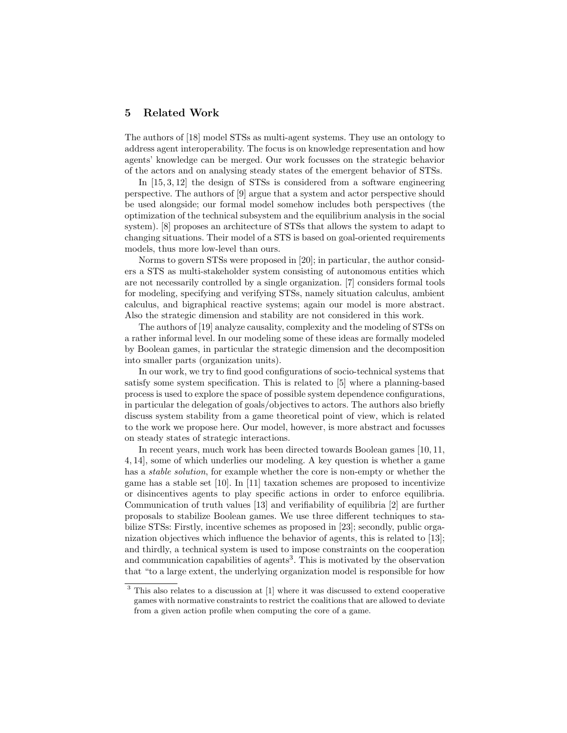# 5 Related Work

The authors of [18] model STSs as multi-agent systems. They use an ontology to address agent interoperability. The focus is on knowledge representation and how agents' knowledge can be merged. Our work focusses on the strategic behavior of the actors and on analysing steady states of the emergent behavior of STSs.

In [15, 3, 12] the design of STSs is considered from a software engineering perspective. The authors of [9] argue that a system and actor perspective should be used alongside; our formal model somehow includes both perspectives (the optimization of the technical subsystem and the equilibrium analysis in the social system). [8] proposes an architecture of STSs that allows the system to adapt to changing situations. Their model of a STS is based on goal-oriented requirements models, thus more low-level than ours.

Norms to govern STSs were proposed in [20]; in particular, the author considers a STS as multi-stakeholder system consisting of autonomous entities which are not necessarily controlled by a single organization. [7] considers formal tools for modeling, specifying and verifying STSs, namely situation calculus, ambient calculus, and bigraphical reactive systems; again our model is more abstract. Also the strategic dimension and stability are not considered in this work.

The authors of [19] analyze causality, complexity and the modeling of STSs on a rather informal level. In our modeling some of these ideas are formally modeled by Boolean games, in particular the strategic dimension and the decomposition into smaller parts (organization units).

In our work, we try to find good configurations of socio-technical systems that satisfy some system specification. This is related to [5] where a planning-based process is used to explore the space of possible system dependence configurations, in particular the delegation of goals/objectives to actors. The authors also briefly discuss system stability from a game theoretical point of view, which is related to the work we propose here. Our model, however, is more abstract and focusses on steady states of strategic interactions.

In recent years, much work has been directed towards Boolean games [10, 11, 4, 14], some of which underlies our modeling. A key question is whether a game has a *stable solution*, for example whether the core is non-empty or whether the game has a stable set [10]. In [11] taxation schemes are proposed to incentivize or disincentives agents to play specific actions in order to enforce equilibria. Communication of truth values [13] and verifiability of equilibria [2] are further proposals to stabilize Boolean games. We use three different techniques to stabilize STSs: Firstly, incentive schemes as proposed in [23]; secondly, public organization objectives which influence the behavior of agents, this is related to [13]; and thirdly, a technical system is used to impose constraints on the cooperation and communication capabilities of agents<sup>3</sup>. This is motivated by the observation that "to a large extent, the underlying organization model is responsible for how

<sup>&</sup>lt;sup>3</sup> This also relates to a discussion at [1] where it was discussed to extend cooperative games with normative constraints to restrict the coalitions that are allowed to deviate from a given action profile when computing the core of a game.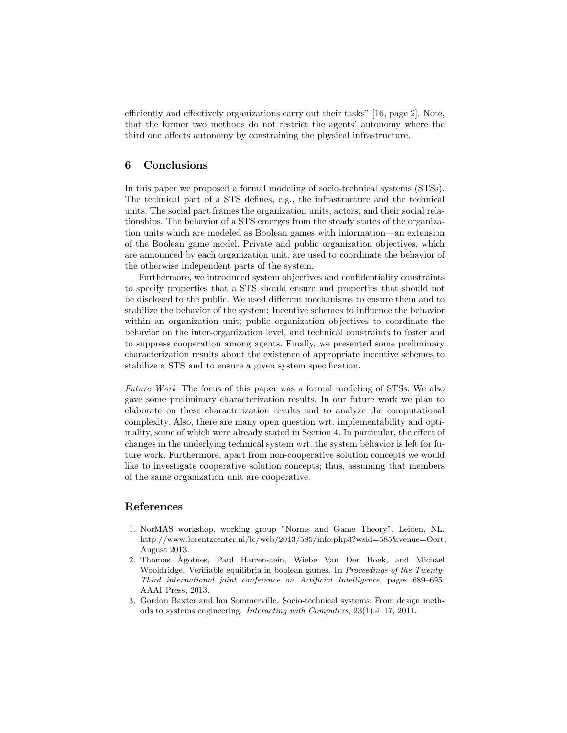efficiently and effectively organizations carry out their tasks" [16, page 2]. Note, that the former two methods do not restrict the agents' autonomy where the third one affects autonomy by constraining the physical infrastructure.

# 6 Conclusions

In this paper we proposed a formal modeling of socio-technical systems (STSs). The technical part of a STS defines, e.g., the infrastructure and the technical units. The social part frames the organization units, actors, and their social relationships. The behavior of a STS emerges from the steady states of the organization units which are modeled as Boolean games with information—an extension of the Boolean game model. Private and public organization objectives, which are announced by each organization unit, are used to coordinate the behavior of the otherwise independent parts of the system.

Furthermore, we introduced system objectives and confidentiality constraints to specify properties that a STS should ensure and properties that should not be disclosed to the public. We used different mechanisms to ensure them and to stabilize the behavior of the system: Incentive schemes to influence the behavior within an organization unit; public organization objectives to coordinate the behavior on the inter-organization level, and technical constraints to foster and to suppress cooperation among agents. Finally, we presented some preliminary characterization results about the existence of appropriate incentive schemes to stabilize a STS and to ensure a given system specification.

Future Work The focus of this paper was a formal modeling of STSs. We also gave some preliminary characterization results. In our future work we plan to elaborate on these characterization results and to analyze the computational complexity. Also, there are many open question wrt. implementability and optimality, some of which were already stated in Section 4. In particular, the effect of changes in the underlying technical system wrt. the system behavior is left for future work. Furthermore, apart from non-cooperative solution concepts we would like to investigate cooperative solution concepts; thus, assuming that members of the same organization unit are cooperative.

# References

- 1. NorMAS workshop, working group "Norms and Game Theory", Leiden, NL. http://www.lorentzcenter.nl/lc/web/2013/585/info.php3?wsid=585&venue=Oort, August 2013.
- 2. Thomas Ågotnes, Paul Harrenstein, Wiebe Van Der Hoek, and Michael Wooldridge. Verifiable equilibria in boolean games. In Proceedings of the Twenty-Third international joint conference on Artificial Intelligence, pages 689–695. AAAI Press, 2013.
- 3. Gordon Baxter and Ian Sommerville. Socio-technical systems: From design methods to systems engineering. Interacting with Computers, 23(1):4–17, 2011.